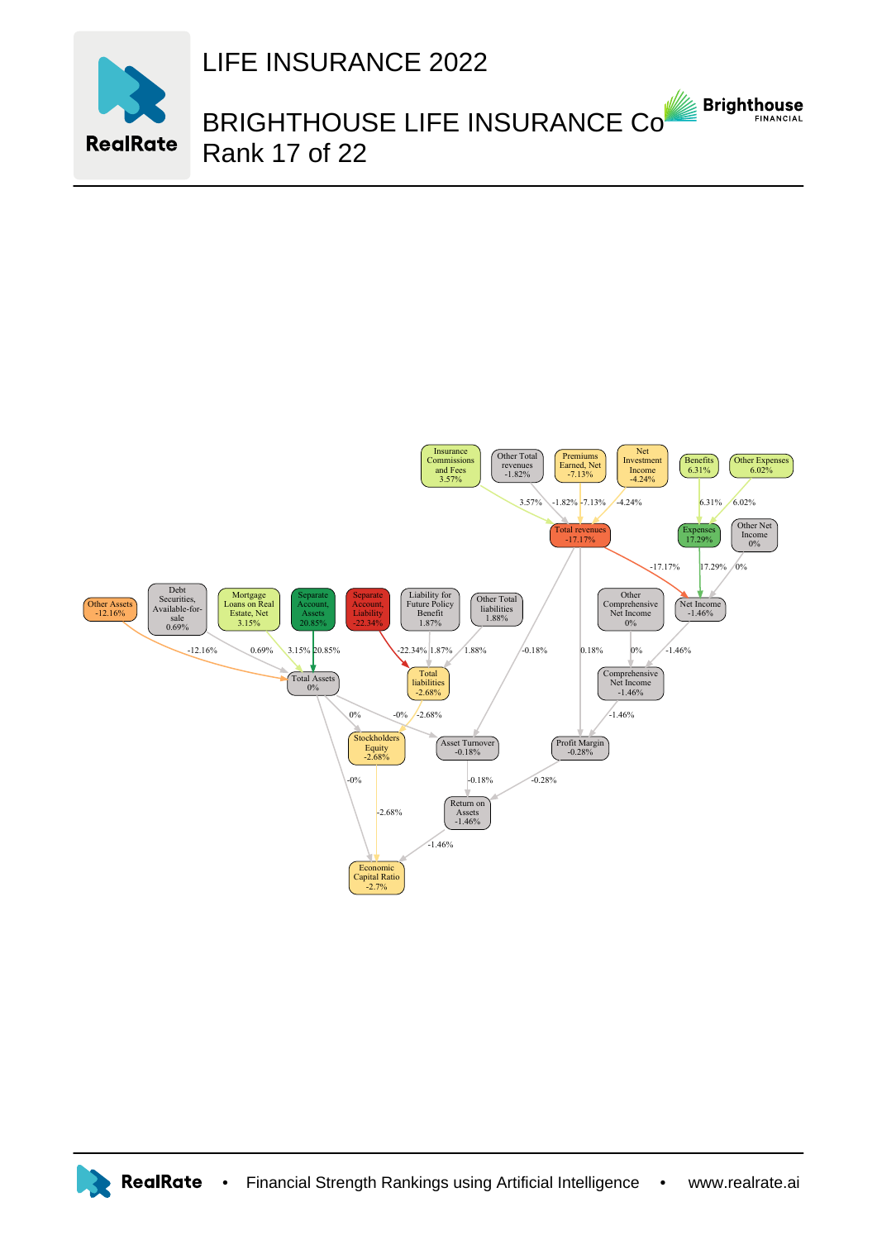